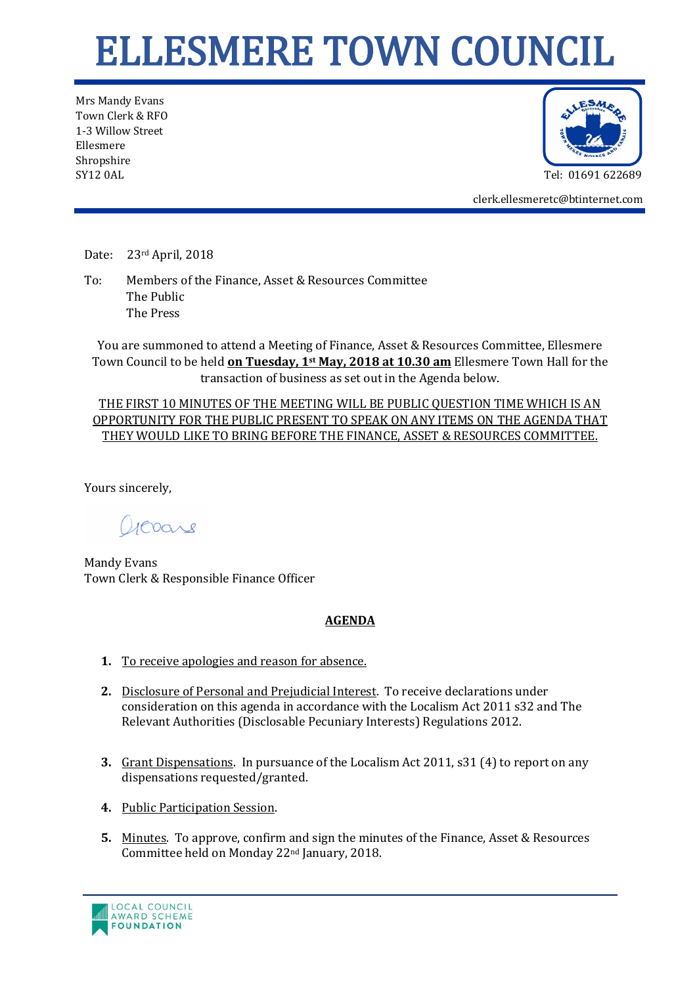## ELLESMERE TOWN COUNCIL

Mrs Mandy Evans Town Clerk & RFO 1-3 Willow Street Ellesmere Shropshire SY12 0AL Tel: 01691 622689



clerk.ellesmeretc@btinternet.com

Date: 23rd April, 2018

To: Members of the Finance, Asset & Resources Committee The Public The Press

You are summoned to attend a Meeting of Finance, Asset & Resources Committee, Ellesmere Town Council to be held **on Tuesday, 1st May, 2018 at 10.30 am** Ellesmere Town Hall for the transaction of business as set out in the Agenda below.

THE FIRST 10 MINUTES OF THE MEETING WILL BE PUBLIC QUESTION TIME WHICH IS AN OPPORTUNITY FOR THE PUBLIC PRESENT TO SPEAK ON ANY ITEMS ON THE AGENDA THAT THEY WOULD LIKE TO BRING BEFORE THE FINANCE, ASSET & RESOURCES COMMITTEE.

Yours sincerely,

acoare

Mandy Evans Town Clerk & Responsible Finance Officer

## **AGENDA**

- **1.** To receive apologies and reason for absence.
- **2.** Disclosure of Personal and Prejudicial Interest. To receive declarations under consideration on this agenda in accordance with the Localism Act 2011 s32 and The Relevant Authorities (Disclosable Pecuniary Interests) Regulations 2012.
- **3.** Grant Dispensations. In pursuance of the Localism Act 2011, s31 (4) to report on any dispensations requested/granted.
- **4.** Public Participation Session.
- **5.** Minutes. To approve, confirm and sign the minutes of the Finance, Asset & Resources Committee held on Monday 22nd January, 2018.